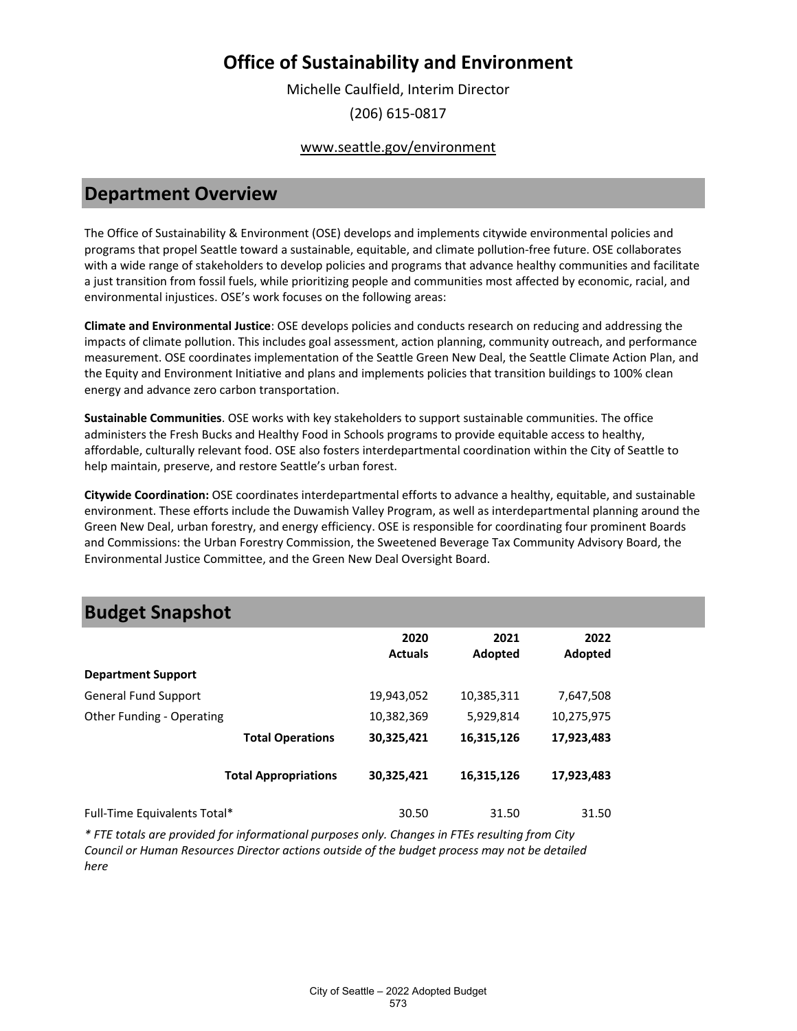Michelle Caulfield, Interim Director (206) 615-0817

#### www.seattle.gov/environment

## **Department Overview**

The Office of Sustainability & Environment (OSE) develops and implements citywide environmental policies and programs that propel Seattle toward a sustainable, equitable, and climate pollution-free future. OSE collaborates with a wide range of stakeholders to develop policies and programs that advance healthy communities and facilitate a just transition from fossil fuels, while prioritizing people and communities most affected by economic, racial, and environmental injustices. OSE's work focuses on the following areas:

**Climate and Environmental Justice**: OSE develops policies and conducts research on reducing and addressing the impacts of climate pollution. This includes goal assessment, action planning, community outreach, and performance measurement. OSE coordinates implementation of the Seattle Green New Deal, the Seattle Climate Action Plan, and the Equity and Environment Initiative and plans and implements policies that transition buildings to 100% clean energy and advance zero carbon transportation.

**Sustainable Communities**. OSE works with key stakeholders to support sustainable communities. The office administers the Fresh Bucks and Healthy Food in Schools programs to provide equitable access to healthy, affordable, culturally relevant food. OSE also fosters interdepartmental coordination within the City of Seattle to help maintain, preserve, and restore Seattle's urban forest.

**Citywide Coordination:** OSE coordinates interdepartmental efforts to advance a healthy, equitable, and sustainable environment. These efforts include the Duwamish Valley Program, as well as interdepartmental planning around the Green New Deal, urban forestry, and energy efficiency. OSE is responsible for coordinating four prominent Boards and Commissions: the Urban Forestry Commission, the Sweetened Beverage Tax Community Advisory Board, the Environmental Justice Committee, and the Green New Deal Oversight Board.

## **Budget Snapshot**

|                              | 2020<br><b>Actuals</b> | 2021<br>Adopted | 2022<br>Adopted |
|------------------------------|------------------------|-----------------|-----------------|
| <b>Department Support</b>    |                        |                 |                 |
| <b>General Fund Support</b>  | 19,943,052             | 10,385,311      | 7,647,508       |
| Other Funding - Operating    | 10,382,369             | 5,929,814       | 10,275,975      |
| <b>Total Operations</b>      | 30,325,421             | 16,315,126      | 17,923,483      |
| <b>Total Appropriations</b>  | 30,325,421             | 16,315,126      | 17,923,483      |
| Full-Time Equivalents Total* | 30.50                  | 31.50           | 31.50           |

*\* FTE totals are provided for informational purposes only. Changes in FTEs resulting from City Council or Human Resources Director actions outside of the budget process may not be detailed here*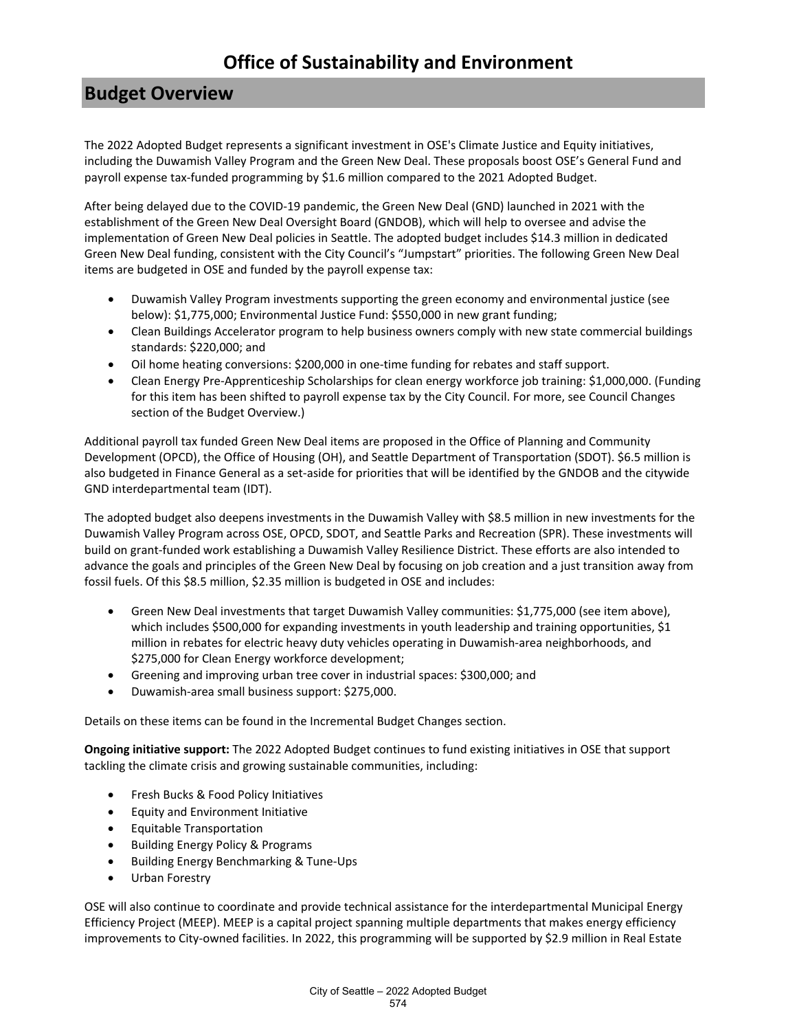## **Budget Overview**

The 2022 Adopted Budget represents a significant investment in OSE's Climate Justice and Equity initiatives, including the Duwamish Valley Program and the Green New Deal. These proposals boost OSE's General Fund and payroll expense tax-funded programming by \$1.6 million compared to the 2021 Adopted Budget.

After being delayed due to the COVID-19 pandemic, the Green New Deal (GND) launched in 2021 with the establishment of the Green New Deal Oversight Board (GNDOB), which will help to oversee and advise the implementation of Green New Deal policies in Seattle. The adopted budget includes \$14.3 million in dedicated Green New Deal funding, consistent with the City Council's "Jumpstart" priorities. The following Green New Deal items are budgeted in OSE and funded by the payroll expense tax:

- Duwamish Valley Program investments supporting the green economy and environmental justice (see below): \$1,775,000; Environmental Justice Fund: \$550,000 in new grant funding;
- Clean Buildings Accelerator program to help business owners comply with new state commercial buildings standards: \$220,000; and
- Oil home heating conversions: \$200,000 in one-time funding for rebates and staff support.
- Clean Energy Pre-Apprenticeship Scholarships for clean energy workforce job training: \$1,000,000. (Funding for this item has been shifted to payroll expense tax by the City Council. For more, see Council Changes section of the Budget Overview.)

Additional payroll tax funded Green New Deal items are proposed in the Office of Planning and Community Development (OPCD), the Office of Housing (OH), and Seattle Department of Transportation (SDOT). \$6.5 million is also budgeted in Finance General as a set-aside for priorities that will be identified by the GNDOB and the citywide GND interdepartmental team (IDT).

The adopted budget also deepens investments in the Duwamish Valley with \$8.5 million in new investments for the Duwamish Valley Program across OSE, OPCD, SDOT, and Seattle Parks and Recreation (SPR). These investments will build on grant-funded work establishing a Duwamish Valley Resilience District. These efforts are also intended to advance the goals and principles of the Green New Deal by focusing on job creation and a just transition away from fossil fuels. Of this \$8.5 million, \$2.35 million is budgeted in OSE and includes:

- Green New Deal investments that target Duwamish Valley communities: \$1,775,000 (see item above), which includes \$500,000 for expanding investments in youth leadership and training opportunities, \$1 million in rebates for electric heavy duty vehicles operating in Duwamish-area neighborhoods, and \$275,000 for Clean Energy workforce development;
- Greening and improving urban tree cover in industrial spaces: \$300,000; and
- Duwamish-area small business support: \$275,000.

Details on these items can be found in the Incremental Budget Changes section.

**Ongoing initiative support:** The 2022 Adopted Budget continues to fund existing initiatives in OSE that support tackling the climate crisis and growing sustainable communities, including:

- Fresh Bucks & Food Policy Initiatives
- Equity and Environment Initiative
- Equitable Transportation
- Building Energy Policy & Programs
- Building Energy Benchmarking & Tune-Ups
- Urban Forestry

OSE will also continue to coordinate and provide technical assistance for the interdepartmental Municipal Energy Efficiency Project (MEEP). MEEP is a capital project spanning multiple departments that makes energy efficiency improvements to City-owned facilities. In 2022, this programming will be supported by \$2.9 million in Real Estate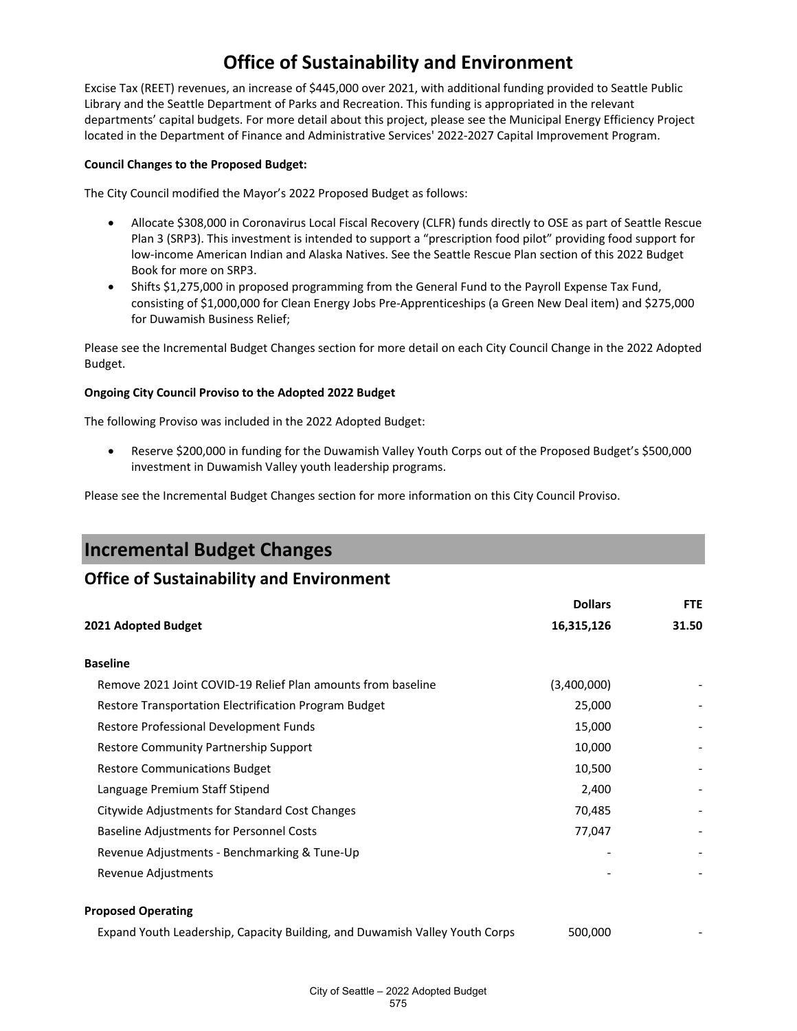Excise Tax (REET) revenues, an increase of \$445,000 over 2021, with additional funding provided to Seattle Public Library and the Seattle Department of Parks and Recreation. This funding is appropriated in the relevant departments' capital budgets. For more detail about this project, please see the Municipal Energy Efficiency Project located in the Department of Finance and Administrative Services' 2022-2027 Capital Improvement Program.

#### **Council Changes to the Proposed Budget:**

The City Council modified the Mayor's 2022 Proposed Budget as follows:

- Allocate \$308,000 in Coronavirus Local Fiscal Recovery (CLFR) funds directly to OSE as part of Seattle Rescue Plan 3 (SRP3). This investment is intended to support a "prescription food pilot" providing food support for low-income American Indian and Alaska Natives. See the Seattle Rescue Plan section of this 2022 Budget Book for more on SRP3.
- Shifts \$1,275,000 in proposed programming from the General Fund to the Payroll Expense Tax Fund, consisting of \$1,000,000 for Clean Energy Jobs Pre-Apprenticeships (a Green New Deal item) and \$275,000 for Duwamish Business Relief;

Please see the Incremental Budget Changes section for more detail on each City Council Change in the 2022 Adopted Budget.

#### **Ongoing City Council Proviso to the Adopted 2022 Budget**

The following Proviso was included in the 2022 Adopted Budget:

• Reserve \$200,000 in funding for the Duwamish Valley Youth Corps out of the Proposed Budget's \$500,000 investment in Duwamish Valley youth leadership programs.

Please see the Incremental Budget Changes section for more information on this City Council Proviso.

## **Incremental Budget Changes**

### **Office of Sustainability and Environment**

|                                                              | <b>Dollars</b> | <b>FTE</b> |
|--------------------------------------------------------------|----------------|------------|
| 2021 Adopted Budget                                          | 16,315,126     | 31.50      |
| <b>Baseline</b>                                              |                |            |
| Remove 2021 Joint COVID-19 Relief Plan amounts from baseline | (3,400,000)    |            |
| Restore Transportation Electrification Program Budget        | 25,000         |            |
| Restore Professional Development Funds                       | 15,000         |            |
| Restore Community Partnership Support                        | 10,000         |            |
| <b>Restore Communications Budget</b>                         | 10,500         |            |
| Language Premium Staff Stipend                               | 2,400          |            |
| Citywide Adjustments for Standard Cost Changes               | 70,485         |            |
| <b>Baseline Adjustments for Personnel Costs</b>              | 77,047         |            |
| Revenue Adjustments - Benchmarking & Tune-Up                 |                |            |
| Revenue Adjustments                                          |                |            |
|                                                              |                |            |

#### **Proposed Operating**

Expand Youth Leadership, Capacity Building, and Duwamish Valley Youth Corps 500,000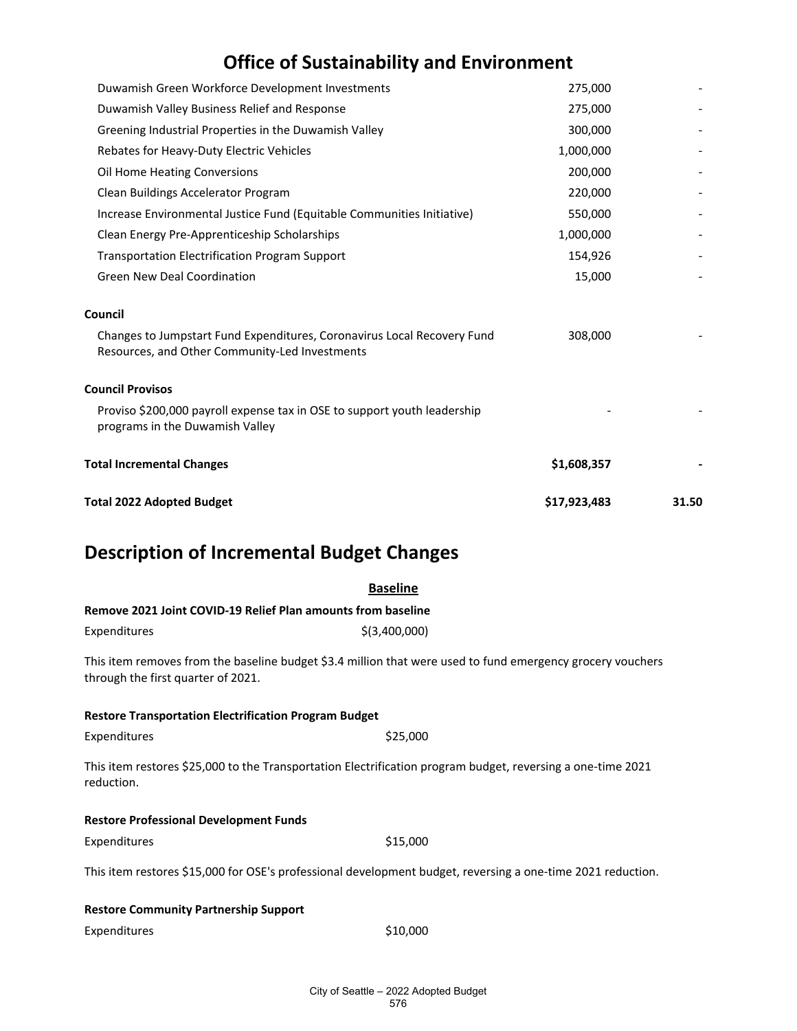| <b>Total 2022 Adopted Budget</b>                                                                                          | \$17,923,483 | 31.50 |
|---------------------------------------------------------------------------------------------------------------------------|--------------|-------|
| <b>Total Incremental Changes</b>                                                                                          | \$1,608,357  |       |
| Proviso \$200,000 payroll expense tax in OSE to support youth leadership<br>programs in the Duwamish Valley               |              |       |
| <b>Council Provisos</b>                                                                                                   |              |       |
| Changes to Jumpstart Fund Expenditures, Coronavirus Local Recovery Fund<br>Resources, and Other Community-Led Investments | 308,000      |       |
| Council                                                                                                                   |              |       |
| <b>Green New Deal Coordination</b>                                                                                        | 15,000       |       |
| <b>Transportation Electrification Program Support</b>                                                                     | 154,926      |       |
| Clean Energy Pre-Apprenticeship Scholarships                                                                              | 1,000,000    |       |
| Increase Environmental Justice Fund (Equitable Communities Initiative)                                                    | 550,000      |       |
| Clean Buildings Accelerator Program                                                                                       | 220,000      |       |
| Oil Home Heating Conversions                                                                                              | 200,000      |       |
| Rebates for Heavy-Duty Electric Vehicles                                                                                  | 1,000,000    |       |
| Greening Industrial Properties in the Duwamish Valley                                                                     | 300,000      |       |
| Duwamish Valley Business Relief and Response                                                                              | 275,000      |       |
| Duwamish Green Workforce Development Investments                                                                          | 275,000      |       |

# **Description of Incremental Budget Changes**

|                                                                                                                                                  | <b>Baseline</b> |  |  |
|--------------------------------------------------------------------------------------------------------------------------------------------------|-----------------|--|--|
| Remove 2021 Joint COVID-19 Relief Plan amounts from baseline                                                                                     |                 |  |  |
| Expenditures                                                                                                                                     | \$(3,400,000)   |  |  |
| This item removes from the baseline budget \$3.4 million that were used to fund emergency grocery vouchers<br>through the first quarter of 2021. |                 |  |  |
| <b>Restore Transportation Electrification Program Budget</b>                                                                                     |                 |  |  |
| Expenditures                                                                                                                                     | \$25,000        |  |  |
| This item restores \$25,000 to the Transportation Electrification program budget, reversing a one-time 2021<br>reduction.                        |                 |  |  |
| <b>Restore Professional Development Funds</b>                                                                                                    |                 |  |  |
| Expenditures                                                                                                                                     | \$15,000        |  |  |
| This item restores \$15,000 for OSE's professional development budget, reversing a one-time 2021 reduction.                                      |                 |  |  |
| <b>Restore Community Partnership Support</b>                                                                                                     |                 |  |  |
| Expenditures                                                                                                                                     | \$10,000        |  |  |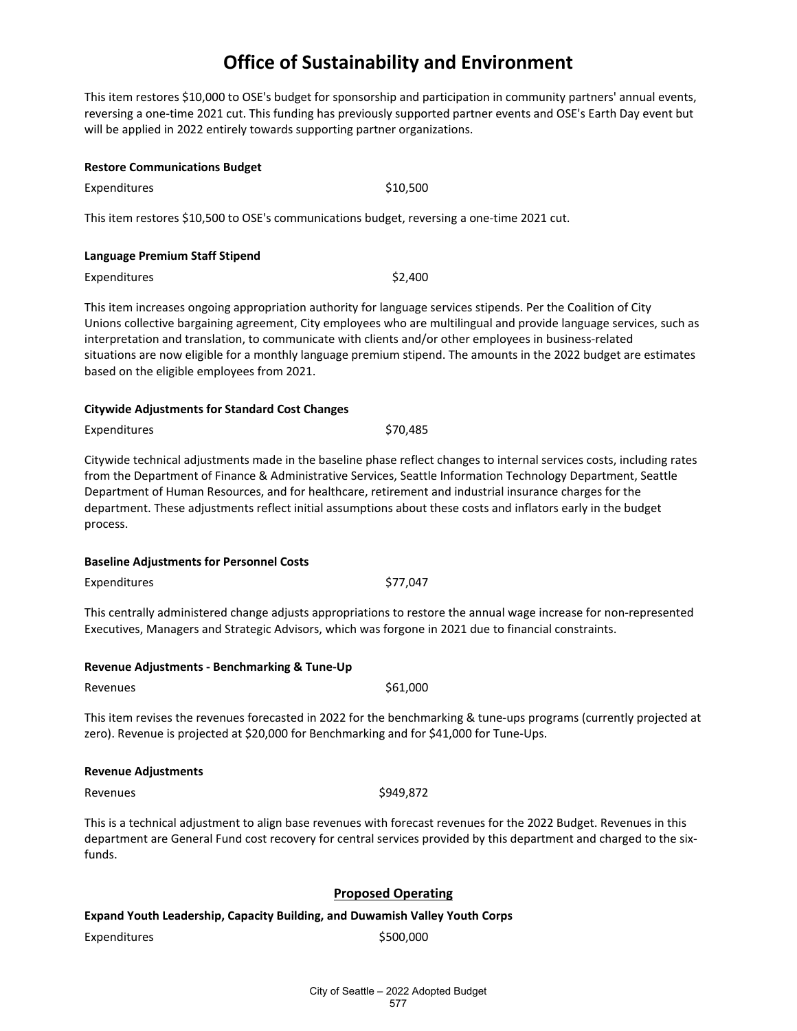This item restores \$10,000 to OSE's budget for sponsorship and participation in community partners' annual events, reversing a one-time 2021 cut. This funding has previously supported partner events and OSE's Earth Day event but will be applied in 2022 entirely towards supporting partner organizations.

| <b>Restore Communications Budget</b>                                                       |          |  |  |
|--------------------------------------------------------------------------------------------|----------|--|--|
| <b>Expenditures</b>                                                                        | \$10,500 |  |  |
| This item restores \$10,500 to OSE's communications budget, reversing a one-time 2021 cut. |          |  |  |
| Language Premium Staff Stipend                                                             |          |  |  |
| <b>Expenditures</b>                                                                        | \$2,400  |  |  |
|                                                                                            |          |  |  |

This item increases ongoing appropriation authority for language services stipends. Per the Coalition of City Unions collective bargaining agreement, City employees who are multilingual and provide language services, such as interpretation and translation, to communicate with clients and/or other employees in business-related situations are now eligible for a monthly language premium stipend. The amounts in the 2022 budget are estimates based on the eligible employees from 2021.

#### **Citywide Adjustments for Standard Cost Changes**

Expenditures \$70,485

Citywide technical adjustments made in the baseline phase reflect changes to internal services costs, including rates from the Department of Finance & Administrative Services, Seattle Information Technology Department, Seattle Department of Human Resources, and for healthcare, retirement and industrial insurance charges for the department. These adjustments reflect initial assumptions about these costs and inflators early in the budget process.

#### **Baseline Adjustments for Personnel Costs**

Expenditures \$77,047

This centrally administered change adjusts appropriations to restore the annual wage increase for non-represented Executives, Managers and Strategic Advisors, which was forgone in 2021 due to financial constraints.

|  | Revenue Adjustments - Benchmarking & Tune-Up |
|--|----------------------------------------------|
|--|----------------------------------------------|

Revenues  $$61,000$ 

This item revises the revenues forecasted in 2022 for the benchmarking & tune-ups programs (currently projected at zero). Revenue is projected at \$20,000 for Benchmarking and for \$41,000 for Tune-Ups.

#### **Revenue Adjustments**

Revenues \$949,872

This is a technical adjustment to align base revenues with forecast revenues for the 2022 Budget. Revenues in this department are General Fund cost recovery for central services provided by this department and charged to the sixfunds.

#### **Proposed Operating**

**Expand Youth Leadership, Capacity Building, and Duwamish Valley Youth Corps**

Expenditures \$500,000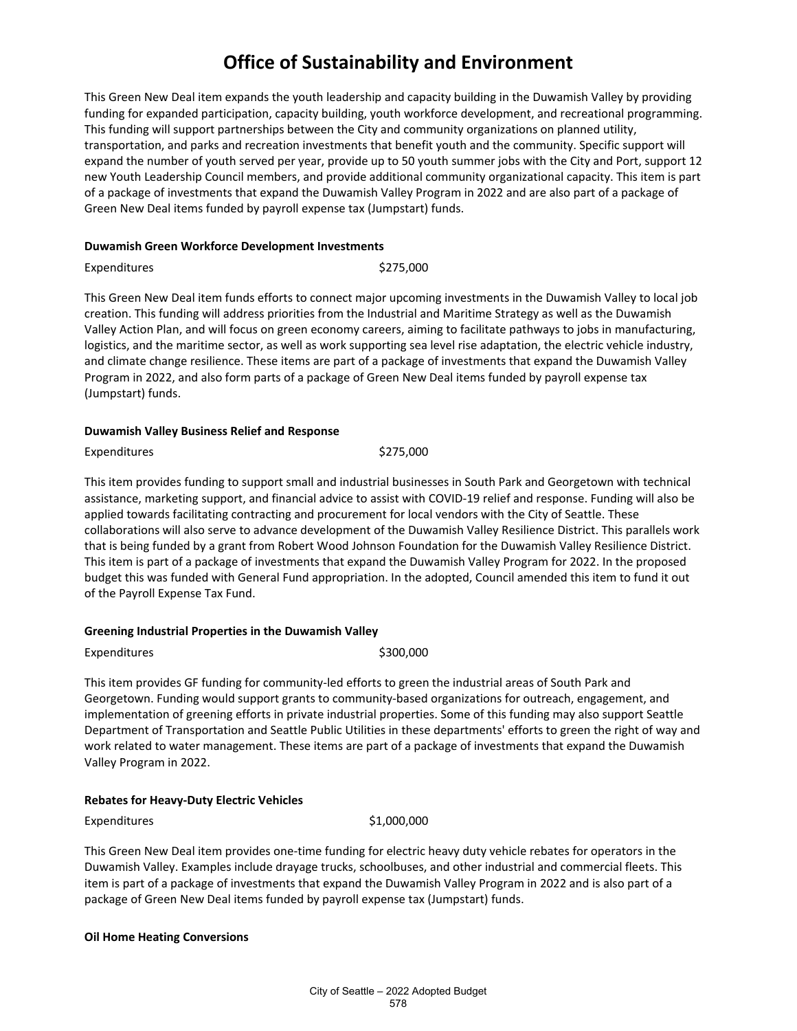This Green New Deal item expands the youth leadership and capacity building in the Duwamish Valley by providing funding for expanded participation, capacity building, youth workforce development, and recreational programming. This funding will support partnerships between the City and community organizations on planned utility, transportation, and parks and recreation investments that benefit youth and the community. Specific support will expand the number of youth served per year, provide up to 50 youth summer jobs with the City and Port, support 12 new Youth Leadership Council members, and provide additional community organizational capacity. This item is part of a package of investments that expand the Duwamish Valley Program in 2022 and are also part of a package of Green New Deal items funded by payroll expense tax (Jumpstart) funds.

#### **Duwamish Green Workforce Development Investments**

Expenditures \$275,000

This Green New Deal item funds efforts to connect major upcoming investments in the Duwamish Valley to local job creation. This funding will address priorities from the Industrial and Maritime Strategy as well as the Duwamish Valley Action Plan, and will focus on green economy careers, aiming to facilitate pathways to jobs in manufacturing, logistics, and the maritime sector, as well as work supporting sea level rise adaptation, the electric vehicle industry, and climate change resilience. These items are part of a package of investments that expand the Duwamish Valley Program in 2022, and also form parts of a package of Green New Deal items funded by payroll expense tax (Jumpstart) funds.

#### **Duwamish Valley Business Relief and Response**

Expenditures \$275,000

This item provides funding to support small and industrial businesses in South Park and Georgetown with technical assistance, marketing support, and financial advice to assist with COVID-19 relief and response. Funding will also be applied towards facilitating contracting and procurement for local vendors with the City of Seattle. These collaborations will also serve to advance development of the Duwamish Valley Resilience District. This parallels work that is being funded by a grant from Robert Wood Johnson Foundation for the Duwamish Valley Resilience District. This item is part of a package of investments that expand the Duwamish Valley Program for 2022. In the proposed budget this was funded with General Fund appropriation. In the adopted, Council amended this item to fund it out of the Payroll Expense Tax Fund.

#### **Greening Industrial Properties in the Duwamish Valley**

Expenditures \$300,000

This item provides GF funding for community-led efforts to green the industrial areas of South Park and Georgetown. Funding would support grants to community-based organizations for outreach, engagement, and implementation of greening efforts in private industrial properties. Some of this funding may also support Seattle Department of Transportation and Seattle Public Utilities in these departments' efforts to green the right of way and work related to water management. These items are part of a package of investments that expand the Duwamish Valley Program in 2022.

#### **Rebates for Heavy-Duty Electric Vehicles**

Expenditures \$1,000,000

This Green New Deal item provides one-time funding for electric heavy duty vehicle rebates for operators in the Duwamish Valley. Examples include drayage trucks, schoolbuses, and other industrial and commercial fleets. This item is part of a package of investments that expand the Duwamish Valley Program in 2022 and is also part of a package of Green New Deal items funded by payroll expense tax (Jumpstart) funds.

#### **Oil Home Heating Conversions**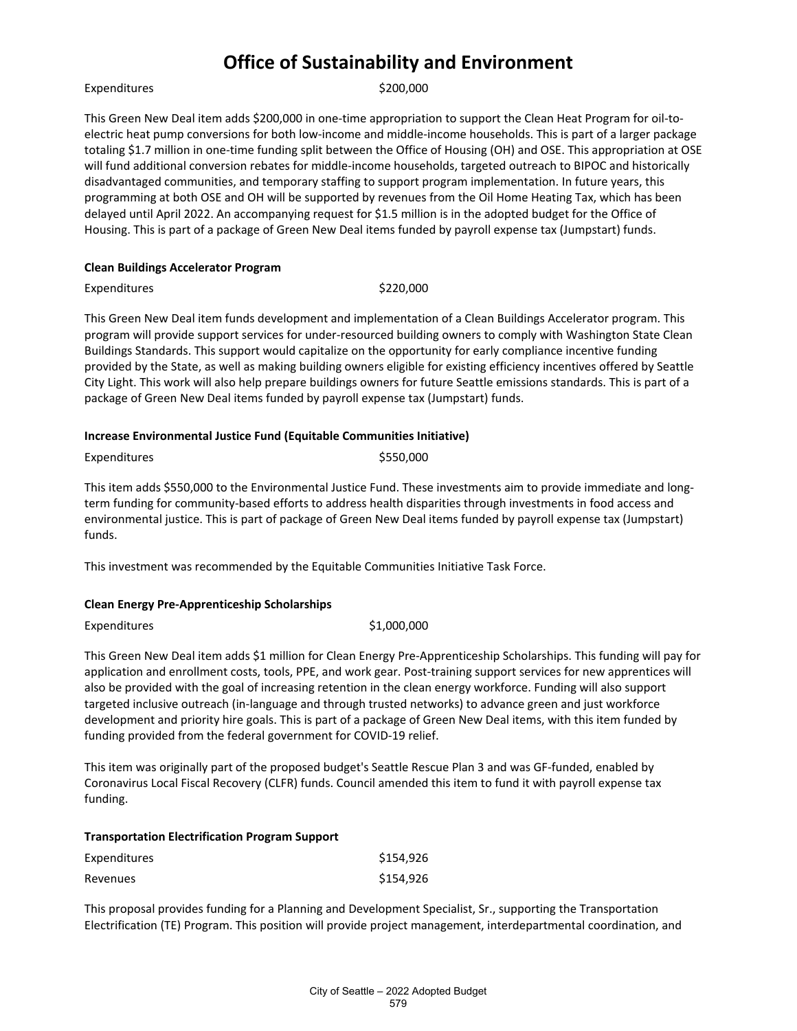#### Expenditures \$200,000

This Green New Deal item adds \$200,000 in one-time appropriation to support the Clean Heat Program for oil-toelectric heat pump conversions for both low-income and middle-income households. This is part of a larger package totaling \$1.7 million in one-time funding split between the Office of Housing (OH) and OSE. This appropriation at OSE will fund additional conversion rebates for middle-income households, targeted outreach to BIPOC and historically disadvantaged communities, and temporary staffing to support program implementation. In future years, this programming at both OSE and OH will be supported by revenues from the Oil Home Heating Tax, which has been delayed until April 2022. An accompanying request for \$1.5 million is in the adopted budget for the Office of Housing. This is part of a package of Green New Deal items funded by payroll expense tax (Jumpstart) funds.

#### **Clean Buildings Accelerator Program**

Expenditures  $\sim$  5220.000

This Green New Deal item funds development and implementation of a Clean Buildings Accelerator program. This program will provide support services for under-resourced building owners to comply with Washington State Clean Buildings Standards. This support would capitalize on the opportunity for early compliance incentive funding provided by the State, as well as making building owners eligible for existing efficiency incentives offered by Seattle City Light. This work will also help prepare buildings owners for future Seattle emissions standards. This is part of a package of Green New Deal items funded by payroll expense tax (Jumpstart) funds.

#### **Increase Environmental Justice Fund (Equitable Communities Initiative)**

| Expenditures | \$550,000 |
|--------------|-----------|
|--------------|-----------|

This item adds \$550,000 to the Environmental Justice Fund. These investments aim to provide immediate and longterm funding for community-based efforts to address health disparities through investments in food access and environmental justice. This is part of package of Green New Deal items funded by payroll expense tax (Jumpstart) funds.

This investment was recommended by the Equitable Communities Initiative Task Force.

#### **Clean Energy Pre-Apprenticeship Scholarships**

Expenditures \$1,000,000

This Green New Deal item adds \$1 million for Clean Energy Pre-Apprenticeship Scholarships. This funding will pay for application and enrollment costs, tools, PPE, and work gear. Post-training support services for new apprentices will also be provided with the goal of increasing retention in the clean energy workforce. Funding will also support targeted inclusive outreach (in-language and through trusted networks) to advance green and just workforce development and priority hire goals. This is part of a package of Green New Deal items, with this item funded by funding provided from the federal government for COVID-19 relief.

This item was originally part of the proposed budget's Seattle Rescue Plan 3 and was GF-funded, enabled by Coronavirus Local Fiscal Recovery (CLFR) funds. Council amended this item to fund it with payroll expense tax funding.

| <b>Transportation Electrification Program Support</b> |           |
|-------------------------------------------------------|-----------|
| Expenditures                                          | \$154.926 |
| Revenues                                              | \$154.926 |

This proposal provides funding for a Planning and Development Specialist, Sr., supporting the Transportation Electrification (TE) Program. This position will provide project management, interdepartmental coordination, and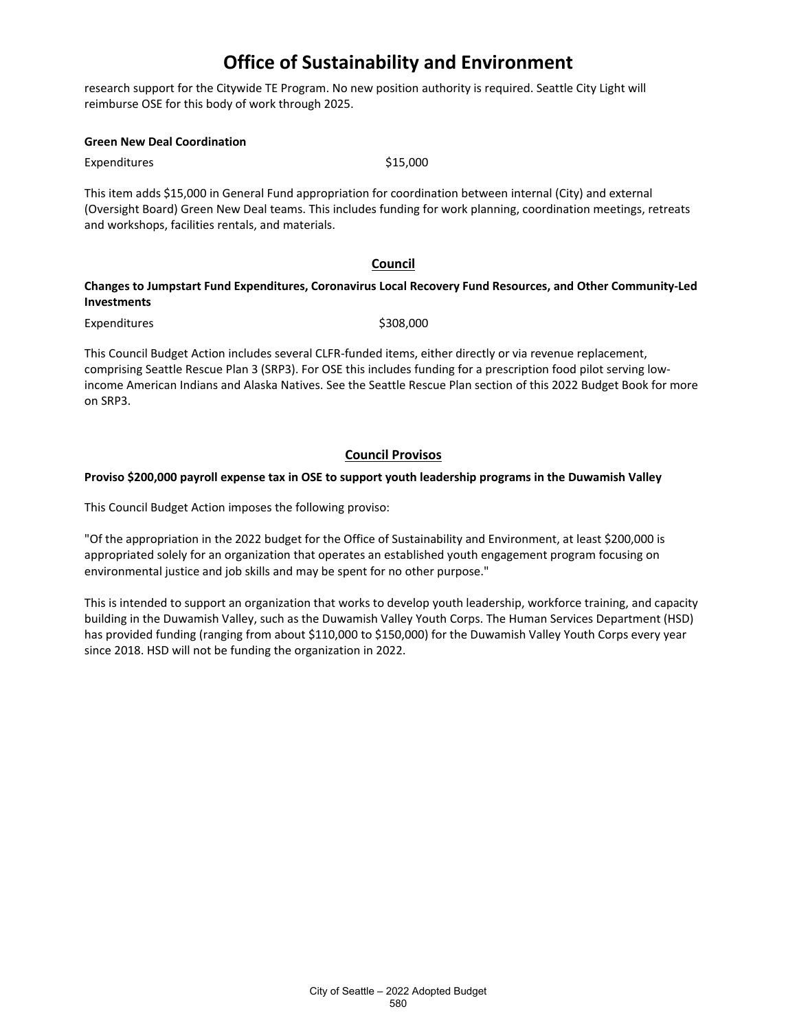research support for the Citywide TE Program. No new position authority is required. Seattle City Light will reimburse OSE for this body of work through 2025.

#### **Green New Deal Coordination**

Expenditures \$15,000

This item adds \$15,000 in General Fund appropriation for coordination between internal (City) and external (Oversight Board) Green New Deal teams. This includes funding for work planning, coordination meetings, retreats and workshops, facilities rentals, and materials.

#### **Council**

#### **Changes to Jumpstart Fund Expenditures, Coronavirus Local Recovery Fund Resources, and Other Community-Led Investments**

Expenditures \$308,000

This Council Budget Action includes several CLFR-funded items, either directly or via revenue replacement, comprising Seattle Rescue Plan 3 (SRP3). For OSE this includes funding for a prescription food pilot serving lowincome American Indians and Alaska Natives. See the Seattle Rescue Plan section of this 2022 Budget Book for more on SRP3.

#### **Council Provisos**

#### **Proviso \$200,000 payroll expense tax in OSE to support youth leadership programs in the Duwamish Valley**

This Council Budget Action imposes the following proviso:

"Of the appropriation in the 2022 budget for the Office of Sustainability and Environment, at least \$200,000 is appropriated solely for an organization that operates an established youth engagement program focusing on environmental justice and job skills and may be spent for no other purpose."

This is intended to support an organization that works to develop youth leadership, workforce training, and capacity building in the Duwamish Valley, such as the Duwamish Valley Youth Corps. The Human Services Department (HSD) has provided funding (ranging from about \$110,000 to \$150,000) for the Duwamish Valley Youth Corps every year since 2018. HSD will not be funding the organization in 2022.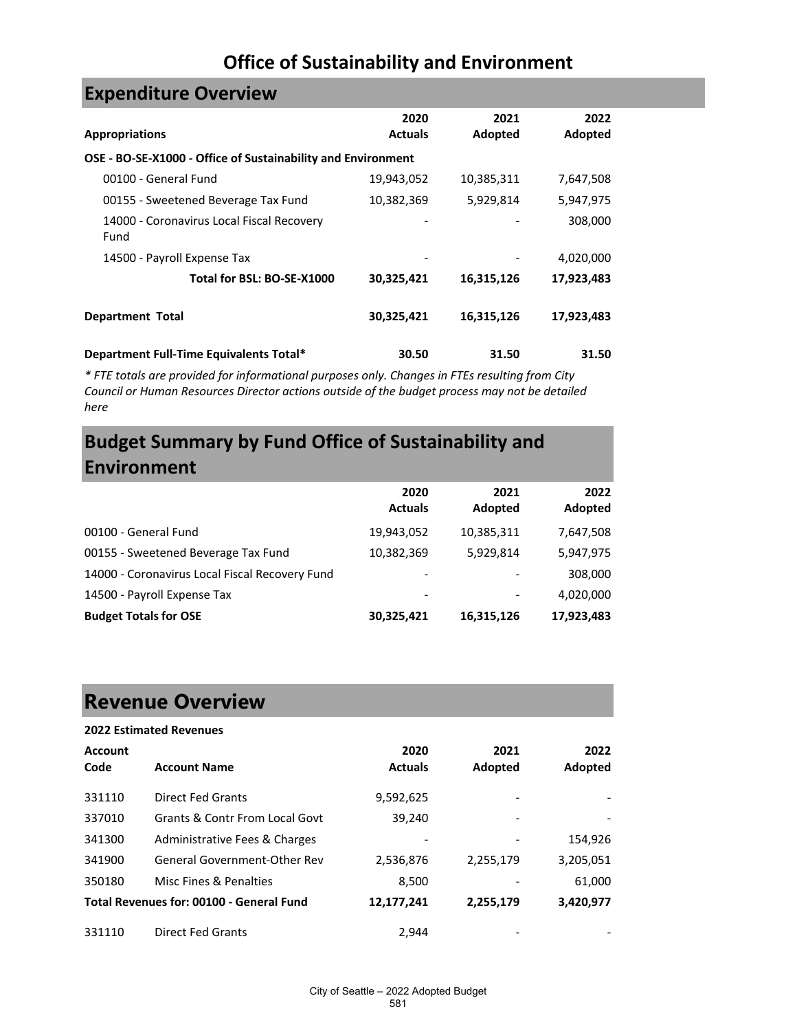| <b>EXPETIQILUI E OVEI VIEW</b>                               |                        |                 |                 |
|--------------------------------------------------------------|------------------------|-----------------|-----------------|
| <b>Appropriations</b>                                        | 2020<br><b>Actuals</b> | 2021<br>Adopted | 2022<br>Adopted |
| OSE - BO-SE-X1000 - Office of Sustainability and Environment |                        |                 |                 |
| 00100 - General Fund                                         | 19,943,052             | 10,385,311      | 7,647,508       |
| 00155 - Sweetened Beverage Tax Fund                          | 10,382,369             | 5,929,814       | 5,947,975       |
| 14000 - Coronavirus Local Fiscal Recovery<br>Fund            |                        |                 | 308,000         |
| 14500 - Payroll Expense Tax                                  |                        |                 | 4,020,000       |
| Total for BSL: BO-SE-X1000                                   | 30,325,421             | 16,315,126      | 17,923,483      |
| <b>Department Total</b>                                      | 30,325,421             | 16,315,126      | 17,923,483      |
| Department Full-Time Equivalents Total*                      | 30.50                  | 31.50           | 31.50           |

*\* FTE totals are provided for informational purposes only. Changes in FTEs resulting from City Council or Human Resources Director actions outside of the budget process may not be detailed here*

# **Budget Summary by Fund Office of Sustainability and Environment**

|                                                | 2020<br><b>Actuals</b> | 2021<br>Adopted | 2022<br>Adopted |
|------------------------------------------------|------------------------|-----------------|-----------------|
| 00100 - General Fund                           | 19,943,052             | 10,385,311      | 7,647,508       |
| 00155 - Sweetened Beverage Tax Fund            | 10,382,369             | 5,929,814       | 5,947,975       |
| 14000 - Coronavirus Local Fiscal Recovery Fund | -                      |                 | 308,000         |
| 14500 - Payroll Expense Tax                    |                        |                 | 4,020,000       |
| <b>Budget Totals for OSE</b>                   | 30,325,421             | 16,315,126      | 17,923,483      |

# **Revenue Overview**

**Expenditure Overview**

| <b>2022 Estimated Revenues</b> |                                          |                |           |           |
|--------------------------------|------------------------------------------|----------------|-----------|-----------|
| <b>Account</b>                 |                                          | 2020           | 2021      | 2022      |
| Code                           | <b>Account Name</b>                      | <b>Actuals</b> | Adopted   | Adopted   |
| 331110                         | <b>Direct Fed Grants</b>                 | 9,592,625      |           |           |
| 337010                         | Grants & Contr From Local Govt           | 39,240         |           |           |
| 341300                         | Administrative Fees & Charges            |                |           | 154,926   |
| 341900                         | <b>General Government-Other Rev</b>      | 2,536,876      | 2,255,179 | 3,205,051 |
| 350180                         | Misc Fines & Penalties                   | 8,500          |           | 61,000    |
|                                | Total Revenues for: 00100 - General Fund | 12,177,241     | 2,255,179 | 3,420,977 |
| 331110                         | <b>Direct Fed Grants</b>                 | 2.944          |           |           |